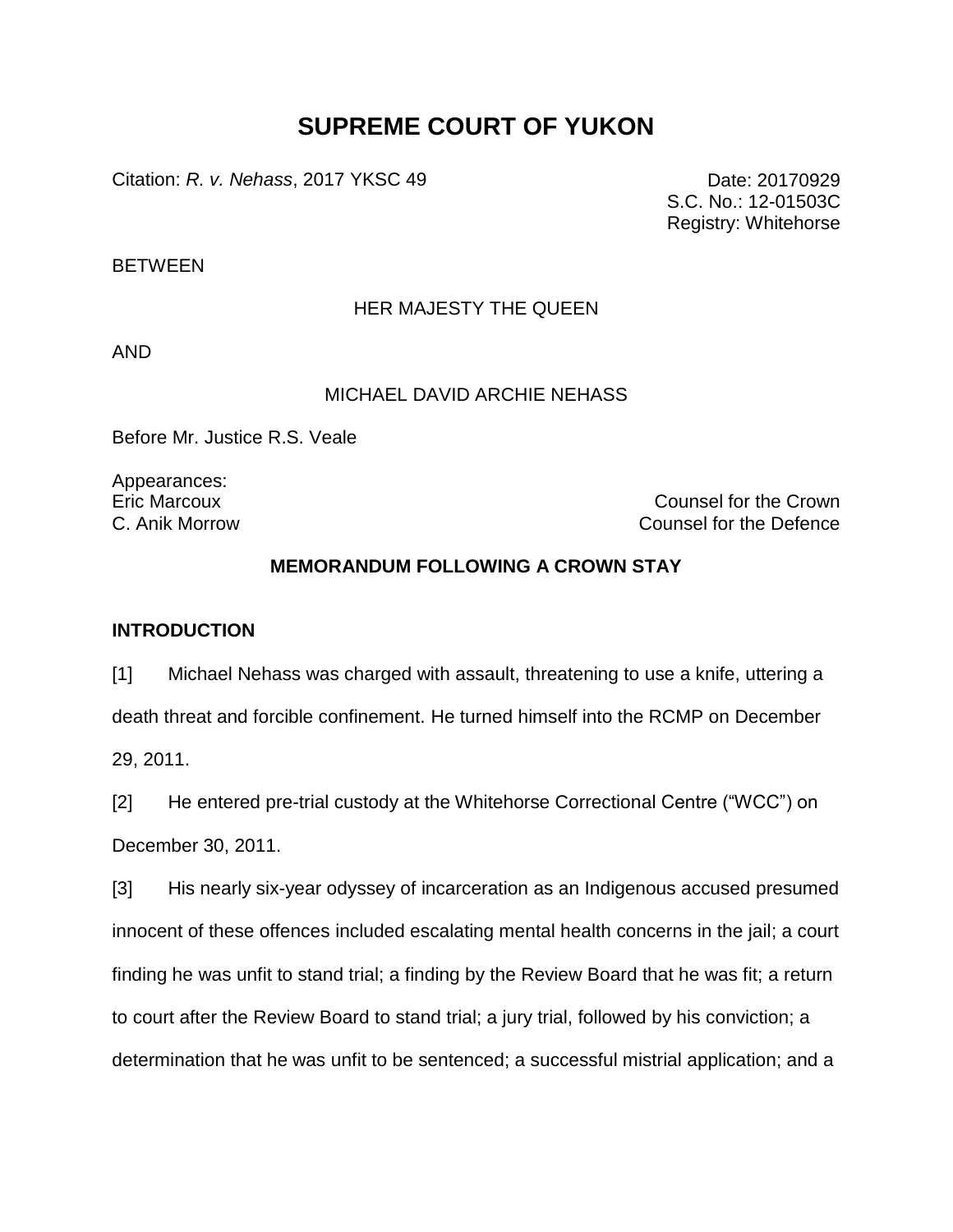# **SUPREME COURT OF YUKON**

Citation: *R. v. Nehass*, 2017 YKSC 49 Date: 20170929

S.C. No.: 12-01503C Registry: Whitehorse

**BETWEEN** 

# HER MAJESTY THE QUEEN

AND

## MICHAEL DAVID ARCHIE NEHASS

Before Mr. Justice R.S. Veale

Appearances:

Eric Marcoux Counsel for the Crown C. Anik Morrow Counsel for the Defence

# **MEMORANDUM FOLLOWING A CROWN STAY**

## **INTRODUCTION**

[1] Michael Nehass was charged with assault, threatening to use a knife, uttering a death threat and forcible confinement. He turned himself into the RCMP on December 29, 2011.

[2] He entered pre-trial custody at the Whitehorse Correctional Centre ("WCC") on December 30, 2011.

[3] His nearly six-year odyssey of incarceration as an Indigenous accused presumed innocent of these offences included escalating mental health concerns in the jail; a court finding he was unfit to stand trial; a finding by the Review Board that he was fit; a return to court after the Review Board to stand trial; a jury trial, followed by his conviction; a determination that he was unfit to be sentenced; a successful mistrial application; and a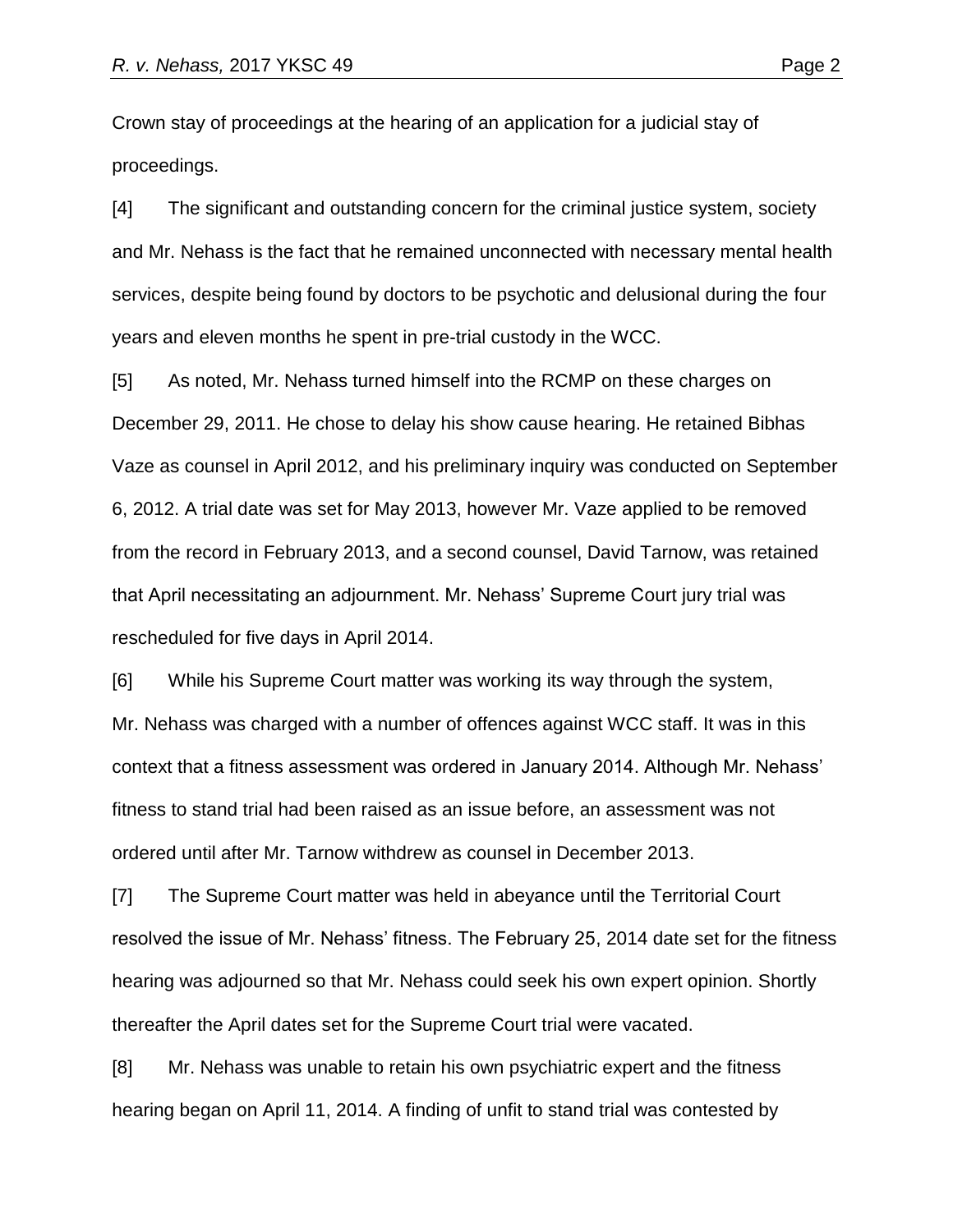Crown stay of proceedings at the hearing of an application for a judicial stay of proceedings.

[4] The significant and outstanding concern for the criminal justice system, society and Mr. Nehass is the fact that he remained unconnected with necessary mental health services, despite being found by doctors to be psychotic and delusional during the four years and eleven months he spent in pre-trial custody in the WCC.

[5] As noted, Mr. Nehass turned himself into the RCMP on these charges on December 29, 2011. He chose to delay his show cause hearing. He retained Bibhas Vaze as counsel in April 2012, and his preliminary inquiry was conducted on September 6, 2012. A trial date was set for May 2013, however Mr. Vaze applied to be removed from the record in February 2013, and a second counsel, David Tarnow, was retained that April necessitating an adjournment. Mr. Nehass' Supreme Court jury trial was rescheduled for five days in April 2014.

[6] While his Supreme Court matter was working its way through the system, Mr. Nehass was charged with a number of offences against WCC staff. It was in this context that a fitness assessment was ordered in January 2014. Although Mr. Nehass' fitness to stand trial had been raised as an issue before, an assessment was not ordered until after Mr. Tarnow withdrew as counsel in December 2013.

[7] The Supreme Court matter was held in abeyance until the Territorial Court resolved the issue of Mr. Nehass' fitness. The February 25, 2014 date set for the fitness hearing was adjourned so that Mr. Nehass could seek his own expert opinion. Shortly thereafter the April dates set for the Supreme Court trial were vacated.

[8] Mr. Nehass was unable to retain his own psychiatric expert and the fitness hearing began on April 11, 2014. A finding of unfit to stand trial was contested by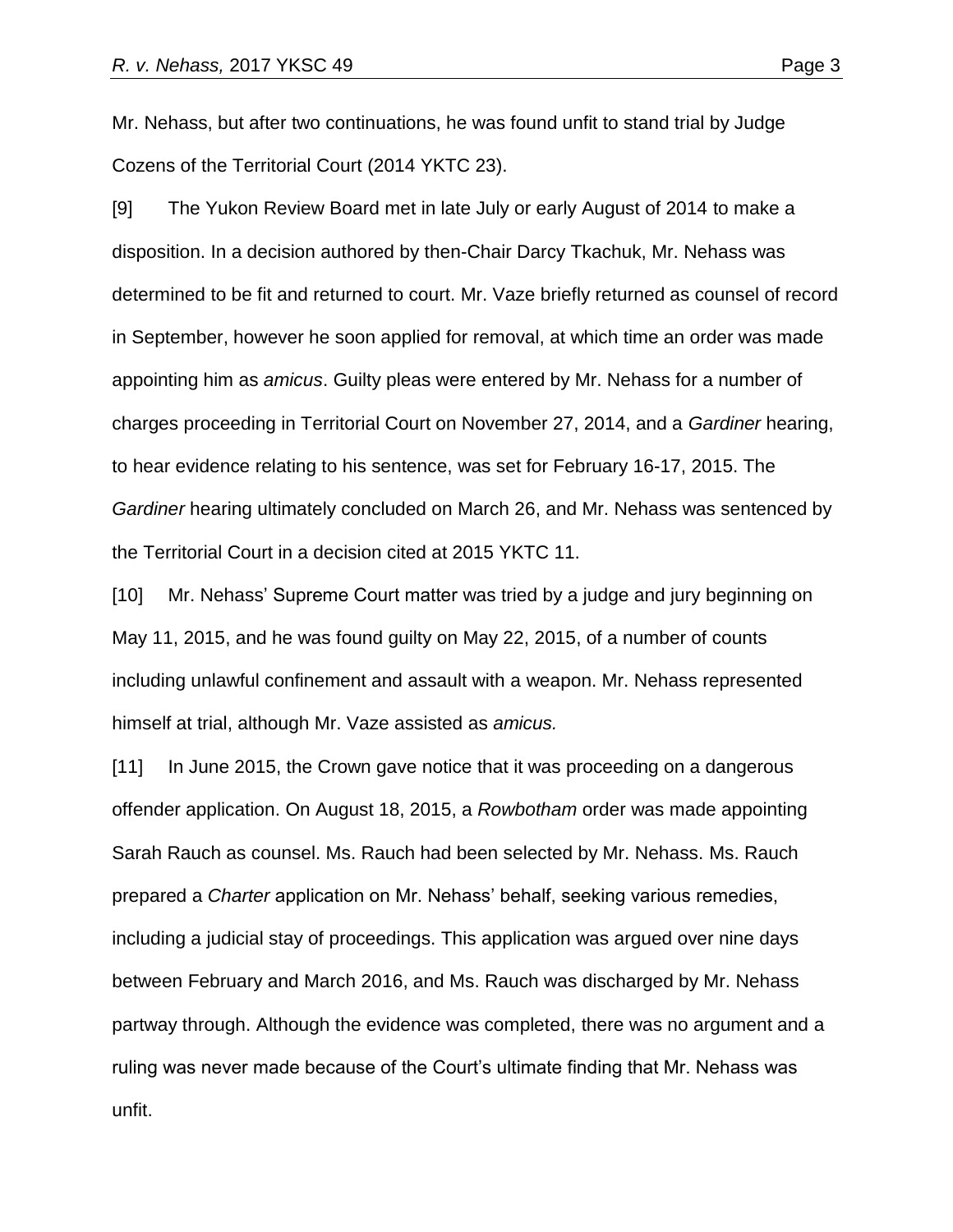Mr. Nehass, but after two continuations, he was found unfit to stand trial by Judge Cozens of the Territorial Court (2014 YKTC 23).

[9] The Yukon Review Board met in late July or early August of 2014 to make a disposition. In a decision authored by then-Chair Darcy Tkachuk, Mr. Nehass was determined to be fit and returned to court. Mr. Vaze briefly returned as counsel of record in September, however he soon applied for removal, at which time an order was made appointing him as *amicus*. Guilty pleas were entered by Mr. Nehass for a number of charges proceeding in Territorial Court on November 27, 2014, and a *Gardiner* hearing, to hear evidence relating to his sentence, was set for February 16-17, 2015. The *Gardiner* hearing ultimately concluded on March 26, and Mr. Nehass was sentenced by the Territorial Court in a decision cited at 2015 YKTC 11.

[10] Mr. Nehass' Supreme Court matter was tried by a judge and jury beginning on May 11, 2015, and he was found guilty on May 22, 2015, of a number of counts including unlawful confinement and assault with a weapon. Mr. Nehass represented himself at trial, although Mr. Vaze assisted as *amicus.*

[11] In June 2015, the Crown gave notice that it was proceeding on a dangerous offender application. On August 18, 2015, a *Rowbotham* order was made appointing Sarah Rauch as counsel. Ms. Rauch had been selected by Mr. Nehass. Ms. Rauch prepared a *Charter* application on Mr. Nehass' behalf, seeking various remedies, including a judicial stay of proceedings. This application was argued over nine days between February and March 2016, and Ms. Rauch was discharged by Mr. Nehass partway through. Although the evidence was completed, there was no argument and a ruling was never made because of the Court's ultimate finding that Mr. Nehass was unfit.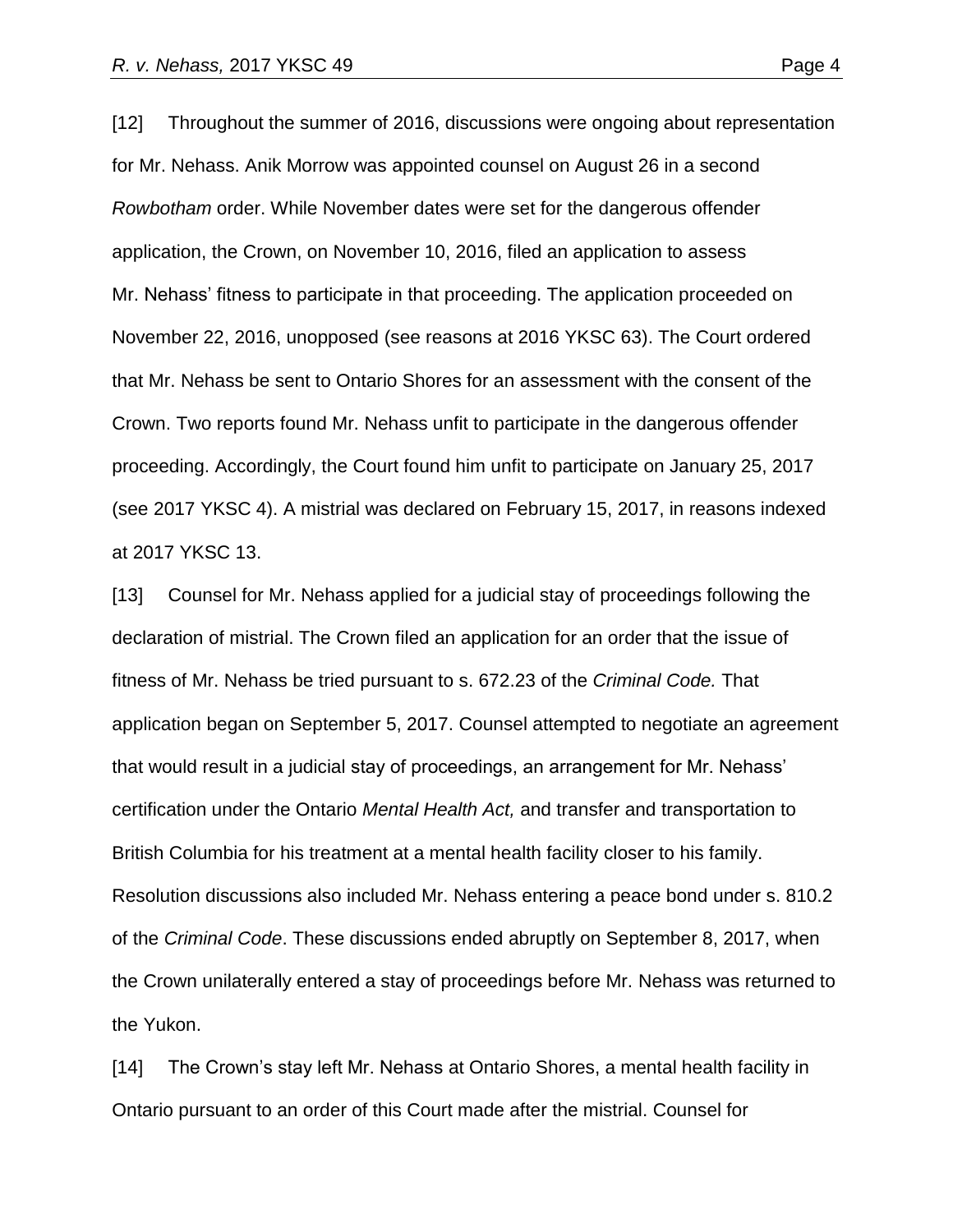[12] Throughout the summer of 2016, discussions were ongoing about representation for Mr. Nehass. Anik Morrow was appointed counsel on August 26 in a second *Rowbotham* order. While November dates were set for the dangerous offender application, the Crown, on November 10, 2016, filed an application to assess Mr. Nehass' fitness to participate in that proceeding. The application proceeded on November 22, 2016, unopposed (see reasons at 2016 YKSC 63). The Court ordered that Mr. Nehass be sent to Ontario Shores for an assessment with the consent of the Crown. Two reports found Mr. Nehass unfit to participate in the dangerous offender proceeding. Accordingly, the Court found him unfit to participate on January 25, 2017 (see 2017 YKSC 4). A mistrial was declared on February 15, 2017, in reasons indexed at 2017 YKSC 13.

[13] Counsel for Mr. Nehass applied for a judicial stay of proceedings following the declaration of mistrial. The Crown filed an application for an order that the issue of fitness of Mr. Nehass be tried pursuant to s. 672.23 of the *Criminal Code.* That application began on September 5, 2017. Counsel attempted to negotiate an agreement that would result in a judicial stay of proceedings, an arrangement for Mr. Nehass' certification under the Ontario *Mental Health Act,* and transfer and transportation to British Columbia for his treatment at a mental health facility closer to his family. Resolution discussions also included Mr. Nehass entering a peace bond under s. 810.2 of the *Criminal Code*. These discussions ended abruptly on September 8, 2017, when the Crown unilaterally entered a stay of proceedings before Mr. Nehass was returned to the Yukon.

[14] The Crown's stay left Mr. Nehass at Ontario Shores, a mental health facility in Ontario pursuant to an order of this Court made after the mistrial. Counsel for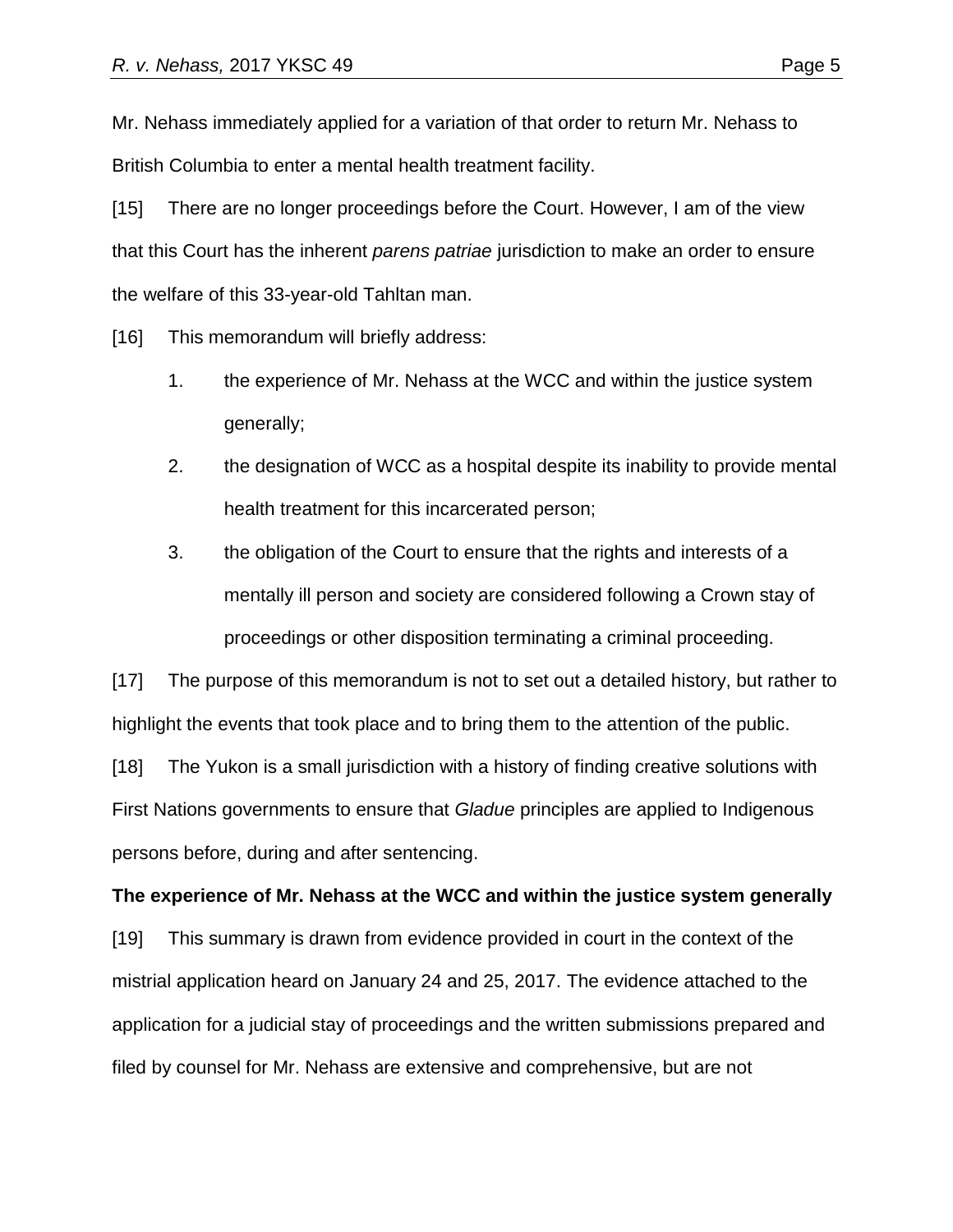Mr. Nehass immediately applied for a variation of that order to return Mr. Nehass to British Columbia to enter a mental health treatment facility.

[15] There are no longer proceedings before the Court. However, I am of the view that this Court has the inherent *parens patriae* jurisdiction to make an order to ensure the welfare of this 33-year-old Tahltan man.

[16] This memorandum will briefly address:

- 1. the experience of Mr. Nehass at the WCC and within the justice system generally;
- 2. the designation of WCC as a hospital despite its inability to provide mental health treatment for this incarcerated person;
- 3. the obligation of the Court to ensure that the rights and interests of a mentally ill person and society are considered following a Crown stay of proceedings or other disposition terminating a criminal proceeding.

[17] The purpose of this memorandum is not to set out a detailed history, but rather to highlight the events that took place and to bring them to the attention of the public.

[18] The Yukon is a small jurisdiction with a history of finding creative solutions with First Nations governments to ensure that *Gladue* principles are applied to Indigenous persons before, during and after sentencing.

#### **The experience of Mr. Nehass at the WCC and within the justice system generally**

[19] This summary is drawn from evidence provided in court in the context of the mistrial application heard on January 24 and 25, 2017. The evidence attached to the application for a judicial stay of proceedings and the written submissions prepared and filed by counsel for Mr. Nehass are extensive and comprehensive, but are not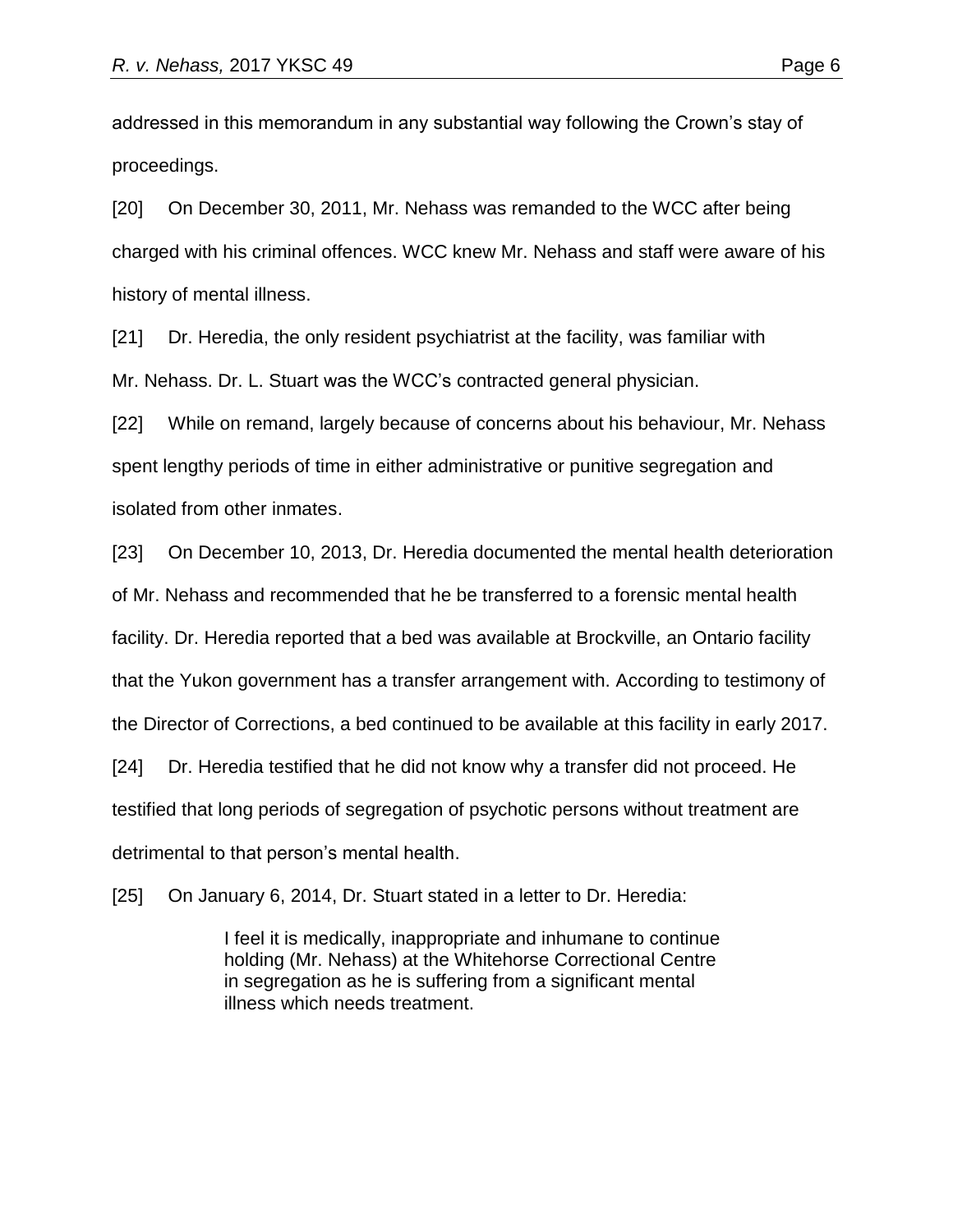addressed in this memorandum in any substantial way following the Crown's stay of proceedings.

[20] On December 30, 2011, Mr. Nehass was remanded to the WCC after being charged with his criminal offences. WCC knew Mr. Nehass and staff were aware of his history of mental illness.

[21] Dr. Heredia, the only resident psychiatrist at the facility, was familiar with Mr. Nehass. Dr. L. Stuart was the WCC's contracted general physician.

[22] While on remand, largely because of concerns about his behaviour, Mr. Nehass spent lengthy periods of time in either administrative or punitive segregation and isolated from other inmates.

[23] On December 10, 2013, Dr. Heredia documented the mental health deterioration of Mr. Nehass and recommended that he be transferred to a forensic mental health facility. Dr. Heredia reported that a bed was available at Brockville, an Ontario facility that the Yukon government has a transfer arrangement with. According to testimony of the Director of Corrections, a bed continued to be available at this facility in early 2017. [24] Dr. Heredia testified that he did not know why a transfer did not proceed. He testified that long periods of segregation of psychotic persons without treatment are

detrimental to that person's mental health.

[25] On January 6, 2014, Dr. Stuart stated in a letter to Dr. Heredia:

I feel it is medically, inappropriate and inhumane to continue holding (Mr. Nehass) at the Whitehorse Correctional Centre in segregation as he is suffering from a significant mental illness which needs treatment.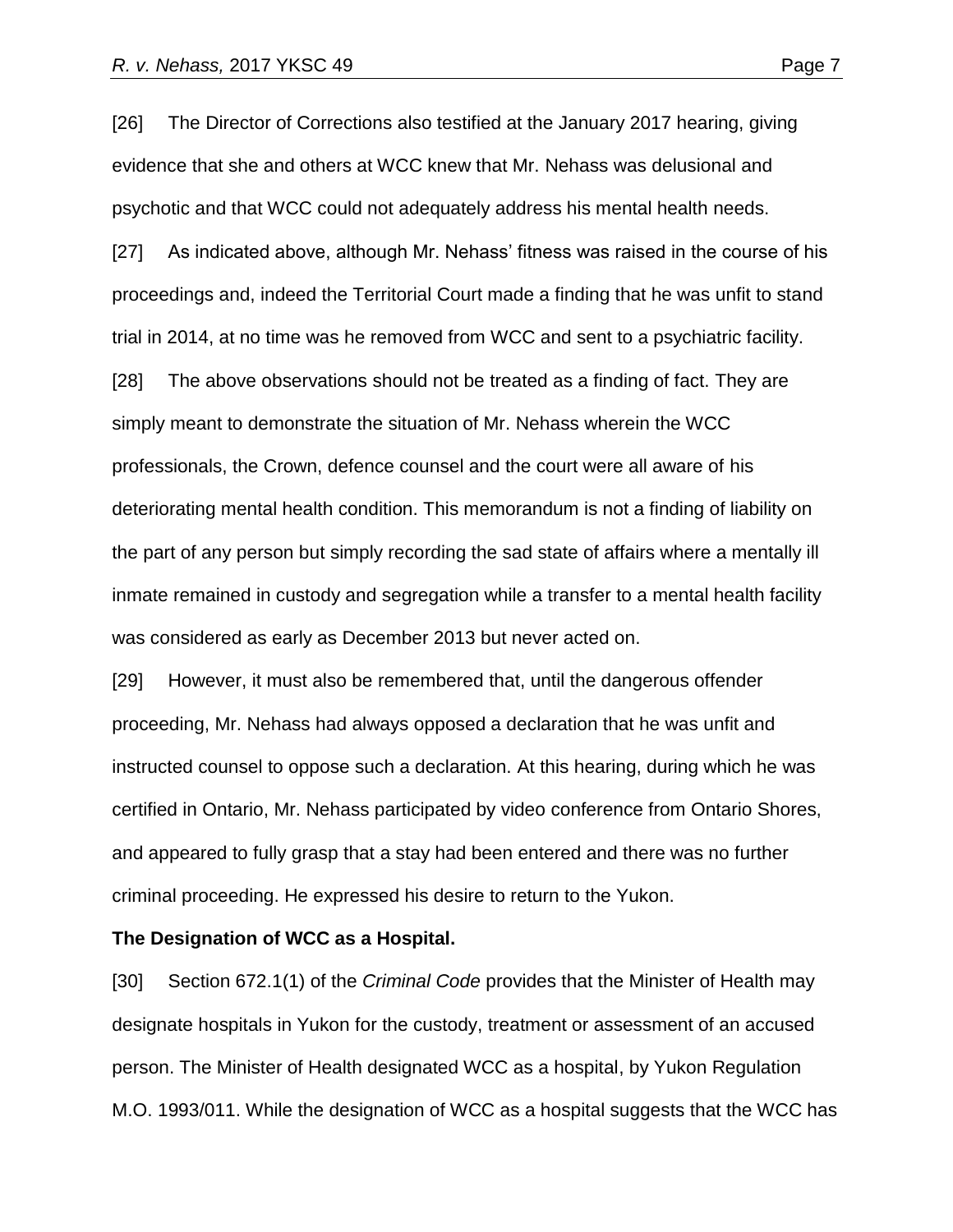[26] The Director of Corrections also testified at the January 2017 hearing, giving evidence that she and others at WCC knew that Mr. Nehass was delusional and psychotic and that WCC could not adequately address his mental health needs. [27] As indicated above, although Mr. Nehass' fitness was raised in the course of his

proceedings and, indeed the Territorial Court made a finding that he was unfit to stand trial in 2014, at no time was he removed from WCC and sent to a psychiatric facility.

[28] The above observations should not be treated as a finding of fact. They are simply meant to demonstrate the situation of Mr. Nehass wherein the WCC professionals, the Crown, defence counsel and the court were all aware of his deteriorating mental health condition. This memorandum is not a finding of liability on the part of any person but simply recording the sad state of affairs where a mentally ill inmate remained in custody and segregation while a transfer to a mental health facility was considered as early as December 2013 but never acted on.

[29] However, it must also be remembered that, until the dangerous offender proceeding, Mr. Nehass had always opposed a declaration that he was unfit and instructed counsel to oppose such a declaration. At this hearing, during which he was certified in Ontario, Mr. Nehass participated by video conference from Ontario Shores, and appeared to fully grasp that a stay had been entered and there was no further criminal proceeding. He expressed his desire to return to the Yukon.

#### **The Designation of WCC as a Hospital.**

[30] Section 672.1(1) of the *Criminal Code* provides that the Minister of Health may designate hospitals in Yukon for the custody, treatment or assessment of an accused person. The Minister of Health designated WCC as a hospital, by Yukon Regulation M.O. 1993/011. While the designation of WCC as a hospital suggests that the WCC has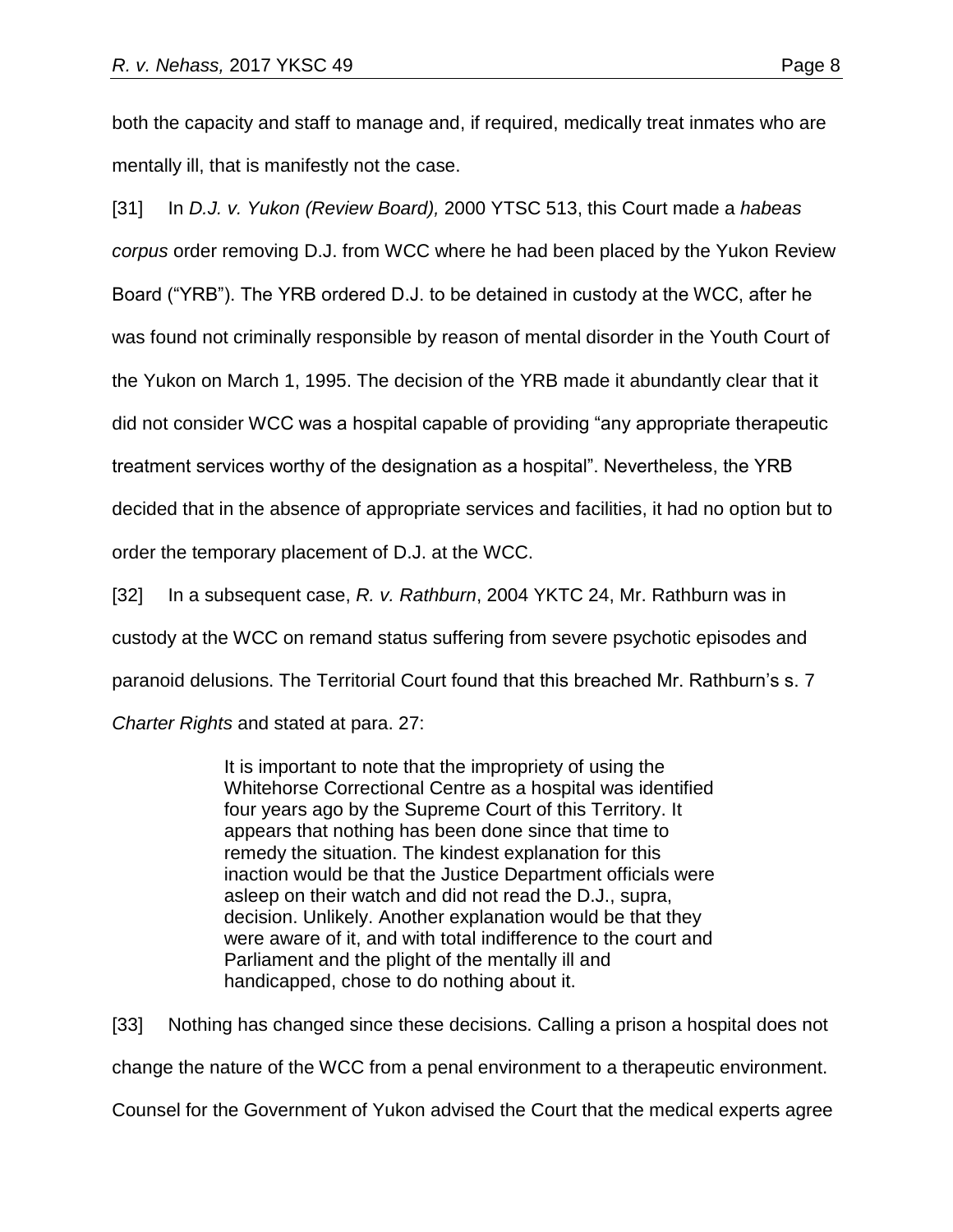both the capacity and staff to manage and, if required, medically treat inmates who are mentally ill, that is manifestly not the case.

[31] In *D.J. v. Yukon (Review Board),* 2000 YTSC 513, this Court made a *habeas corpus* order removing D.J. from WCC where he had been placed by the Yukon Review Board ("YRB"). The YRB ordered D.J. to be detained in custody at the WCC, after he was found not criminally responsible by reason of mental disorder in the Youth Court of the Yukon on March 1, 1995. The decision of the YRB made it abundantly clear that it did not consider WCC was a hospital capable of providing "any appropriate therapeutic treatment services worthy of the designation as a hospital". Nevertheless, the YRB decided that in the absence of appropriate services and facilities, it had no option but to order the temporary placement of D.J. at the WCC.

[32] In a subsequent case, *R. v. Rathburn*, 2004 YKTC 24, Mr. Rathburn was in custody at the WCC on remand status suffering from severe psychotic episodes and paranoid delusions. The Territorial Court found that this breached Mr. Rathburn's s. 7 *Charter Rights* and stated at para. 27:

> It is important to note that the impropriety of using the Whitehorse Correctional Centre as a hospital was identified four years ago by the Supreme Court of this Territory. It appears that nothing has been done since that time to remedy the situation. The kindest explanation for this inaction would be that the Justice Department officials were asleep on their watch and did not read the D.J., supra, decision. Unlikely. Another explanation would be that they were aware of it, and with total indifference to the court and Parliament and the plight of the mentally ill and handicapped, chose to do nothing about it.

[33] Nothing has changed since these decisions. Calling a prison a hospital does not change the nature of the WCC from a penal environment to a therapeutic environment.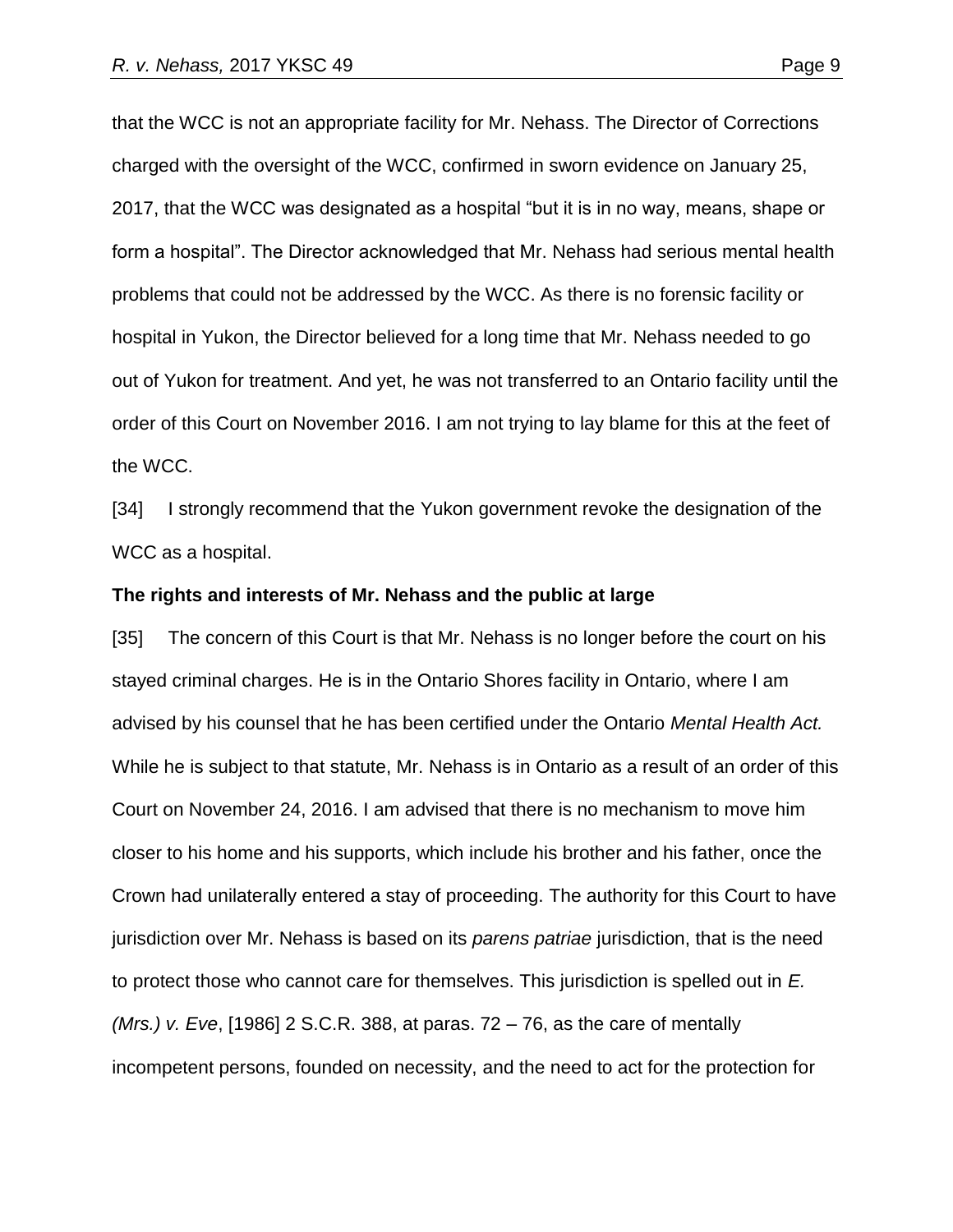that the WCC is not an appropriate facility for Mr. Nehass. The Director of Corrections charged with the oversight of the WCC, confirmed in sworn evidence on January 25, 2017, that the WCC was designated as a hospital "but it is in no way, means, shape or form a hospital". The Director acknowledged that Mr. Nehass had serious mental health problems that could not be addressed by the WCC. As there is no forensic facility or hospital in Yukon, the Director believed for a long time that Mr. Nehass needed to go out of Yukon for treatment. And yet, he was not transferred to an Ontario facility until the order of this Court on November 2016. I am not trying to lay blame for this at the feet of the WCC.

[34] I strongly recommend that the Yukon government revoke the designation of the WCC as a hospital.

### **The rights and interests of Mr. Nehass and the public at large**

[35] The concern of this Court is that Mr. Nehass is no longer before the court on his stayed criminal charges. He is in the Ontario Shores facility in Ontario, where I am advised by his counsel that he has been certified under the Ontario *Mental Health Act.*  While he is subject to that statute, Mr. Nehass is in Ontario as a result of an order of this Court on November 24, 2016. I am advised that there is no mechanism to move him closer to his home and his supports, which include his brother and his father, once the Crown had unilaterally entered a stay of proceeding. The authority for this Court to have jurisdiction over Mr. Nehass is based on its *parens patriae* jurisdiction, that is the need to protect those who cannot care for themselves. This jurisdiction is spelled out in *E. (Mrs.) v. Eve*, [1986] 2 S.C.R. 388, at paras. 72 – 76, as the care of mentally incompetent persons, founded on necessity, and the need to act for the protection for